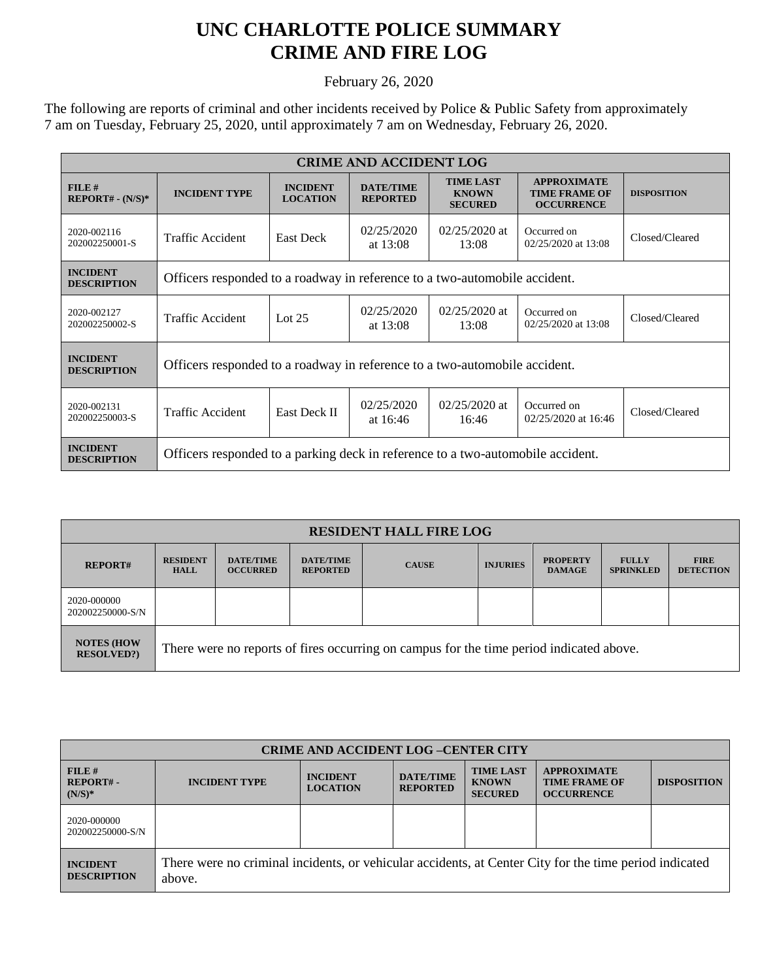## **UNC CHARLOTTE POLICE SUMMARY CRIME AND FIRE LOG**

February 26, 2020

The following are reports of criminal and other incidents received by Police & Public Safety from approximately 7 am on Tuesday, February 25, 2020, until approximately 7 am on Wednesday, February 26, 2020.

| <b>CRIME AND ACCIDENT LOG</b>         |                                                                                 |                                    |                                     |                                                    |                                                                 |                    |  |
|---------------------------------------|---------------------------------------------------------------------------------|------------------------------------|-------------------------------------|----------------------------------------------------|-----------------------------------------------------------------|--------------------|--|
| FILE#<br>$REPORT# - (N/S)*$           | <b>INCIDENT TYPE</b>                                                            | <b>INCIDENT</b><br><b>LOCATION</b> | <b>DATE/TIME</b><br><b>REPORTED</b> | <b>TIME LAST</b><br><b>KNOWN</b><br><b>SECURED</b> | <b>APPROXIMATE</b><br><b>TIME FRAME OF</b><br><b>OCCURRENCE</b> | <b>DISPOSITION</b> |  |
| 2020-002116<br>202002250001-S         | Traffic Accident                                                                | <b>East Deck</b>                   | 02/25/2020<br>at $13:08$            | $02/25/2020$ at<br>13:08                           | Occurred on<br>02/25/2020 at 13:08                              | Closed/Cleared     |  |
| <b>INCIDENT</b><br><b>DESCRIPTION</b> | Officers responded to a roadway in reference to a two-automobile accident.      |                                    |                                     |                                                    |                                                                 |                    |  |
| 2020-002127<br>202002250002-S         | Traffic Accident                                                                | Lot $25$                           | 02/25/2020<br>at $13:08$            | $02/25/2020$ at<br>13:08                           | Occurred on<br>02/25/2020 at 13:08                              | Closed/Cleared     |  |
| <b>INCIDENT</b><br><b>DESCRIPTION</b> | Officers responded to a roadway in reference to a two-automobile accident.      |                                    |                                     |                                                    |                                                                 |                    |  |
| 2020-002131<br>202002250003-S         | Traffic Accident                                                                | <b>East Deck II</b>                | 02/25/2020<br>at $16:46$            | $02/25/2020$ at<br>16:46                           | Occurred on<br>02/25/2020 at 16:46                              | Closed/Cleared     |  |
| <b>INCIDENT</b><br><b>DESCRIPTION</b> | Officers responded to a parking deck in reference to a two-automobile accident. |                                    |                                     |                                                    |                                                                 |                    |  |

| <b>RESIDENT HALL FIRE LOG</b>         |                                                                                         |                                     |                                     |              |                 |                                  |                                  |                                 |
|---------------------------------------|-----------------------------------------------------------------------------------------|-------------------------------------|-------------------------------------|--------------|-----------------|----------------------------------|----------------------------------|---------------------------------|
| <b>REPORT#</b>                        | <b>RESIDENT</b><br><b>HALL</b>                                                          | <b>DATE/TIME</b><br><b>OCCURRED</b> | <b>DATE/TIME</b><br><b>REPORTED</b> | <b>CAUSE</b> | <b>INJURIES</b> | <b>PROPERTY</b><br><b>DAMAGE</b> | <b>FULLY</b><br><b>SPRINKLED</b> | <b>FIRE</b><br><b>DETECTION</b> |
| 2020-000000<br>202002250000-S/N       |                                                                                         |                                     |                                     |              |                 |                                  |                                  |                                 |
| <b>NOTES (HOW</b><br><b>RESOLVED?</b> | There were no reports of fires occurring on campus for the time period indicated above. |                                     |                                     |              |                 |                                  |                                  |                                 |

| <b>CRIME AND ACCIDENT LOG -CENTER CITY</b> |                                                                                                                  |                                    |                                     |                                                    |                                                                 |                    |
|--------------------------------------------|------------------------------------------------------------------------------------------------------------------|------------------------------------|-------------------------------------|----------------------------------------------------|-----------------------------------------------------------------|--------------------|
| FILE #<br><b>REPORT#-</b><br>$(N/S)*$      | <b>INCIDENT TYPE</b>                                                                                             | <b>INCIDENT</b><br><b>LOCATION</b> | <b>DATE/TIME</b><br><b>REPORTED</b> | <b>TIME LAST</b><br><b>KNOWN</b><br><b>SECURED</b> | <b>APPROXIMATE</b><br><b>TIME FRAME OF</b><br><b>OCCURRENCE</b> | <b>DISPOSITION</b> |
| 2020-000000<br>202002250000-S/N            |                                                                                                                  |                                    |                                     |                                                    |                                                                 |                    |
| <b>INCIDENT</b><br><b>DESCRIPTION</b>      | There were no criminal incidents, or vehicular accidents, at Center City for the time period indicated<br>above. |                                    |                                     |                                                    |                                                                 |                    |